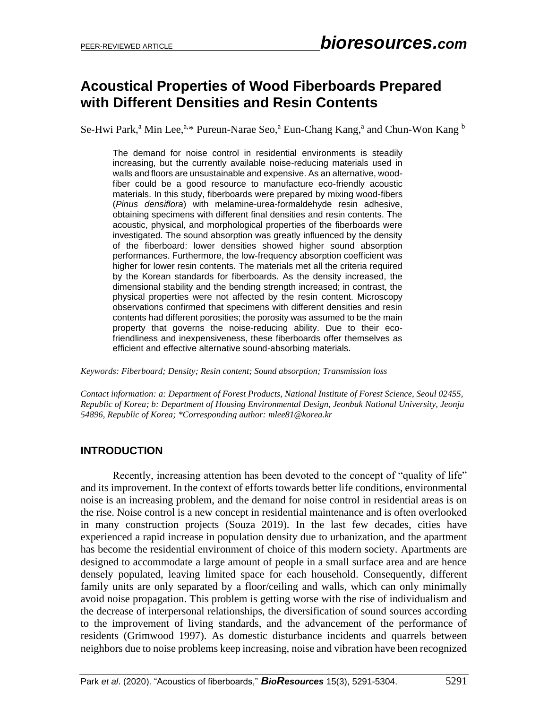# **Acoustical Properties of Wood Fiberboards Prepared with Different Densities and Resin Contents**

Se-Hwi Park,<sup>a</sup> Min Lee,<sup>a,\*</sup> Pureun-Narae Seo,<sup>a</sup> Eun-Chang Kang,<sup>a</sup> and Chun-Won Kang <sup>b</sup>

The demand for noise control in residential environments is steadily increasing, but the currently available noise-reducing materials used in walls and floors are unsustainable and expensive. As an alternative, woodfiber could be a good resource to manufacture eco-friendly acoustic materials. In this study, fiberboards were prepared by mixing wood-fibers (*Pinus densiflora*) with melamine-urea-formaldehyde resin adhesive, obtaining specimens with different final densities and resin contents. The acoustic, physical, and morphological properties of the fiberboards were investigated. The sound absorption was greatly influenced by the density of the fiberboard: lower densities showed higher sound absorption performances. Furthermore, the low-frequency absorption coefficient was higher for lower resin contents. The materials met all the criteria required by the Korean standards for fiberboards. As the density increased, the dimensional stability and the bending strength increased; in contrast, the physical properties were not affected by the resin content. Microscopy observations confirmed that specimens with different densities and resin contents had different porosities; the porosity was assumed to be the main property that governs the noise-reducing ability. Due to their ecofriendliness and inexpensiveness, these fiberboards offer themselves as efficient and effective alternative sound-absorbing materials.

*Keywords: Fiberboard; Density; Resin content; Sound absorption; Transmission loss*

*Contact information: a: Department of Forest Products, National Institute of Forest Science, Seoul 02455, Republic of Korea; b: Department of Housing Environmental Design, Jeonbuk National University, Jeonju 54896, Republic of Korea; \*Corresponding author[: mlee81@korea.kr](mailto:liujb3@ncsu.edu)*

# **INTRODUCTION**

Recently, increasing attention has been devoted to the concept of "quality of life" and its improvement. In the context of efforts towards better life conditions, environmental noise is an increasing problem, and the demand for noise control in residential areas is on the rise. Noise control is a new concept in residential maintenance and is often overlooked in many construction projects (Souza 2019). In the last few decades, cities have experienced a rapid increase in population density due to urbanization, and the apartment has become the residential environment of choice of this modern society. Apartments are designed to accommodate a large amount of people in a small surface area and are hence densely populated, leaving limited space for each household. Consequently, different family units are only separated by a floor/ceiling and walls, which can only minimally avoid noise propagation. This problem is getting worse with the rise of individualism and the decrease of interpersonal relationships, the diversification of sound sources according to the improvement of living standards, and the advancement of the performance of residents (Grimwood 1997). As domestic disturbance incidents and quarrels between neighbors due to noise problems keep increasing, noise and vibration have been recognized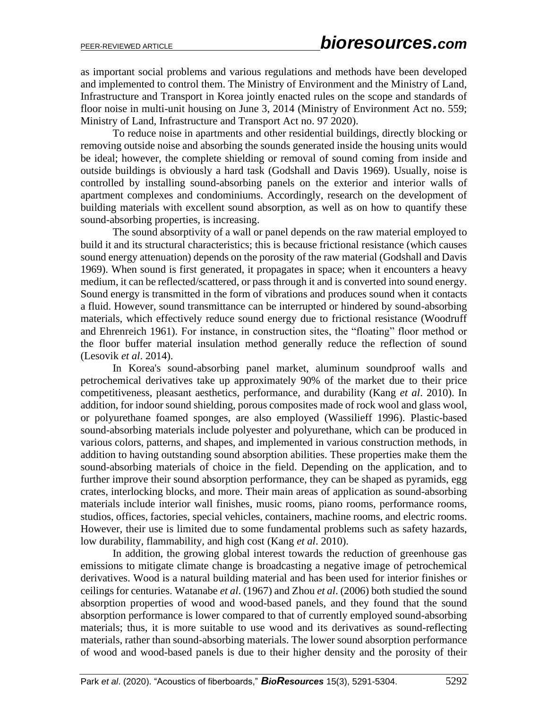as important social problems and various regulations and methods have been developed and implemented to control them. The Ministry of Environment and the Ministry of Land, Infrastructure and Transport in Korea jointly enacted rules on the scope and standards of floor noise in multi-unit housing on June 3, 2014 (Ministry of Environment Act no. 559; Ministry of Land, Infrastructure and Transport Act no. 97 2020).

To reduce noise in apartments and other residential buildings, directly blocking or removing outside noise and absorbing the sounds generated inside the housing units would be ideal; however, the complete shielding or removal of sound coming from inside and outside buildings is obviously a hard task (Godshall and Davis 1969). Usually, noise is controlled by installing sound-absorbing panels on the exterior and interior walls of apartment complexes and condominiums. Accordingly, research on the development of building materials with excellent sound absorption, as well as on how to quantify these sound-absorbing properties, is increasing.

The sound absorptivity of a wall or panel depends on the raw material employed to build it and its structural characteristics; this is because frictional resistance (which causes sound energy attenuation) depends on the porosity of the raw material (Godshall and Davis 1969). When sound is first generated, it propagates in space; when it encounters a heavy medium, it can be reflected/scattered, or pass through it and is converted into sound energy. Sound energy is transmitted in the form of vibrations and produces sound when it contacts a fluid. However, sound transmittance can be interrupted or hindered by sound-absorbing materials, which effectively reduce sound energy due to frictional resistance (Woodruff and Ehrenreich 1961). For instance, in construction sites, the "floating" floor method or the floor buffer material insulation method generally reduce the reflection of sound (Lesovik *et al*. 2014).

In Korea's sound-absorbing panel market, aluminum soundproof walls and petrochemical derivatives take up approximately 90% of the market due to their price competitiveness, pleasant aesthetics, performance, and durability (Kang *et al*. 2010). In addition, for indoor sound shielding, porous composites made of rock wool and glass wool, or polyurethane foamed sponges, are also employed (Wassilieff 1996). Plastic-based sound-absorbing materials include polyester and polyurethane, which can be produced in various colors, patterns, and shapes, and implemented in various construction methods, in addition to having outstanding sound absorption abilities. These properties make them the sound-absorbing materials of choice in the field. Depending on the application, and to further improve their sound absorption performance, they can be shaped as pyramids, egg crates, interlocking blocks, and more. Their main areas of application as sound-absorbing materials include interior wall finishes, music rooms, piano rooms, performance rooms, studios, offices, factories, special vehicles, containers, machine rooms, and electric rooms. However, their use is limited due to some fundamental problems such as safety hazards, low durability, flammability, and high cost (Kang *et al*. 2010).

In addition, the growing global interest towards the reduction of greenhouse gas emissions to mitigate climate change is broadcasting a negative image of petrochemical derivatives. Wood is a natural building material and has been used for interior finishes or ceilings for centuries. Watanabe *et al*. (1967) and Zhou *et al*. (2006) both studied the sound absorption properties of wood and wood-based panels, and they found that the sound absorption performance is lower compared to that of currently employed sound-absorbing materials; thus, it is more suitable to use wood and its derivatives as sound-reflecting materials, rather than sound-absorbing materials. The lower sound absorption performance of wood and wood-based panels is due to their higher density and the porosity of their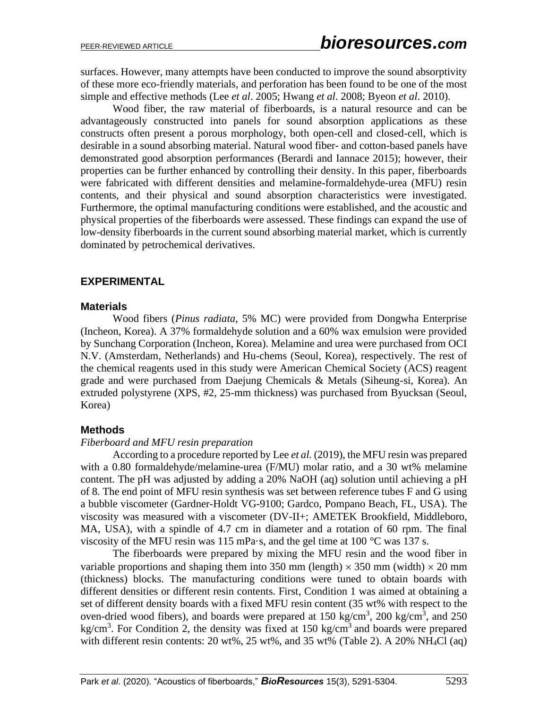surfaces. However, many attempts have been conducted to improve the sound absorptivity of these more eco-friendly materials, and perforation has been found to be one of the most simple and effective methods (Lee *et al*. 2005; Hwang *et al*. 2008; Byeon *et al*. 2010).

Wood fiber, the raw material of fiberboards, is a natural resource and can be advantageously constructed into panels for sound absorption applications as these constructs often present a porous morphology, both open-cell and closed-cell, which is desirable in a sound absorbing material. Natural wood fiber- and cotton-based panels have demonstrated good absorption performances (Berardi and Iannace 2015); however, their properties can be further enhanced by controlling their density. In this paper, fiberboards were fabricated with different densities and melamine-formaldehyde-urea (MFU) resin contents, and their physical and sound absorption characteristics were investigated. Furthermore, the optimal manufacturing conditions were established, and the acoustic and physical properties of the fiberboards were assessed. These findings can expand the use of low-density fiberboards in the current sound absorbing material market, which is currently dominated by petrochemical derivatives.

### **EXPERIMENTAL**

#### **Materials**

Wood fibers (*Pinus radiata*, 5% MC) were provided from Dongwha Enterprise (Incheon, Korea). A 37% formaldehyde solution and a 60% wax emulsion were provided by Sunchang Corporation (Incheon, Korea). Melamine and urea were purchased from OCI N.V. (Amsterdam, Netherlands) and Hu-chems (Seoul, Korea), respectively. The rest of the chemical reagents used in this study were American Chemical Society (ACS) reagent grade and were purchased from Daejung Chemicals & Metals (Siheung-si, Korea). An extruded polystyrene (XPS, #2, 25-mm thickness) was purchased from Byucksan (Seoul, Korea)

#### **Methods**

#### *Fiberboard and MFU resin preparation*

According to a procedure reported by Lee *et al.* (2019), the MFU resin was prepared with a 0.80 formaldehyde/melamine-urea (F/MU) molar ratio, and a 30 wt% melamine content. The pH was adjusted by adding a 20% NaOH (aq) solution until achieving a pH of 8. The end point of MFU resin synthesis was set between reference tubes F and G using a bubble viscometer (Gardner-Holdt VG-9100; Gardco, Pompano Beach, FL, USA). The viscosity was measured with a viscometer (DV-II+; AMETEK Brookfield, Middleboro, MA, USA), with a spindle of 4.7 cm in diameter and a rotation of 60 rpm. The final viscosity of the MFU resin was 115 mPa·s, and the gel time at 100  $^{\circ}$ C was 137 s.

The fiberboards were prepared by mixing the MFU resin and the wood fiber in variable proportions and shaping them into 350 mm (length)  $\times$  350 mm (width)  $\times$  20 mm (thickness) blocks. The manufacturing conditions were tuned to obtain boards with different densities or different resin contents. First, Condition 1 was aimed at obtaining a set of different density boards with a fixed MFU resin content (35 wt% with respect to the oven-dried wood fibers), and boards were prepared at 150 kg/cm<sup>3</sup>, 200 kg/cm<sup>3</sup>, and 250 kg/cm<sup>3</sup>. For Condition 2, the density was fixed at 150 kg/cm<sup>3</sup> and boards were prepared with different resin contents:  $20 \text{ wt\%}, 25 \text{ wt\%}, \text{ and } 35 \text{ wt\%}$  (Table 2). A  $20\% \text{ NH}_4Cl$  (aq)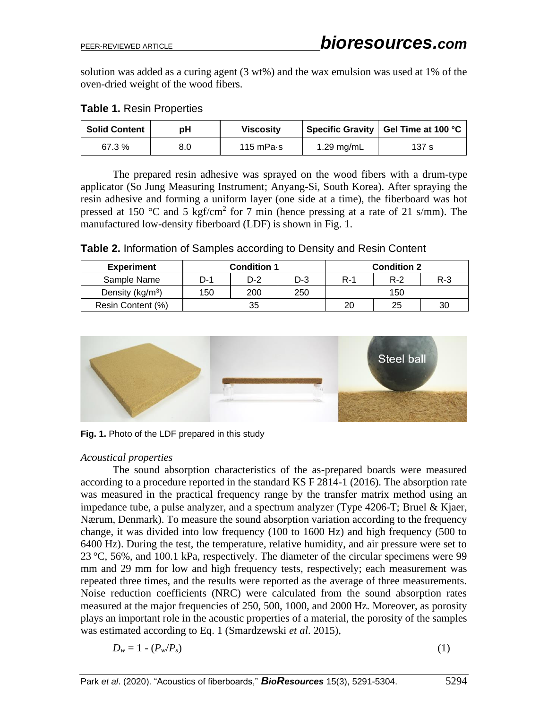solution was added as a curing agent  $(3 w t\%)$  and the wax emulsion was used at 1% of the oven-dried weight of the wood fibers.

| <b>Table 1. Resin Properties</b> |  |
|----------------------------------|--|
|----------------------------------|--|

| <b>Solid Content</b> | рH  | <b>Viscosity</b> |            | Specific Gravity   Gel Time at 100 °C |
|----------------------|-----|------------------|------------|---------------------------------------|
| 67.3 %               | 8.0 | 115 m $Pa·s$     | 1.29 mg/mL | 137 s                                 |

The prepared resin adhesive was sprayed on the wood fibers with a drum-type applicator (So Jung Measuring Instrument; Anyang-Si, South Korea). After spraying the resin adhesive and forming a uniform layer (one side at a time), the fiberboard was hot pressed at 150 °C and 5 kgf/cm<sup>2</sup> for 7 min (hence pressing at a rate of 21 s/mm). The manufactured low-density fiberboard (LDF) is shown in Fig. 1.

**Table 2.** Information of Samples according to Density and Resin Content

| <b>Experiment</b>   | <b>Condition 1</b> |     |       |       | <b>Condition 2</b> |         |
|---------------------|--------------------|-----|-------|-------|--------------------|---------|
| Sample Name         | D-1                | D-2 | $D-3$ | $R-1$ | $R-2$              | $R - 3$ |
| Density ( $kg/m3$ ) | 150                | 200 | 250   | 150   |                    |         |
| Resin Content (%)   | 35                 |     |       | 20    | 25                 | 30      |



**Fig. 1.** Photo of the LDF prepared in this study

## *Acoustical properties*

The sound absorption characteristics of the as-prepared boards were measured according to a procedure reported in the standard KS F 2814-1 (2016). The absorption rate was measured in the practical frequency range by the transfer matrix method using an impedance tube, a pulse analyzer, and a spectrum analyzer (Type 4206-T; Bruel & Kjaer, Nærum, Denmark). To measure the sound absorption variation according to the frequency change, it was divided into low frequency (100 to 1600 Hz) and high frequency (500 to 6400 Hz). During the test, the temperature, relative humidity, and air pressure were set to 23 °C, 56%, and 100.1 kPa, respectively. The diameter of the circular specimens were 99 mm and 29 mm for low and high frequency tests, respectively; each measurement was repeated three times, and the results were reported as the average of three measurements. Noise reduction coefficients (NRC) were calculated from the sound absorption rates measured at the major frequencies of 250, 500, 1000, and 2000 Hz. Moreover, as porosity plays an important role in the acoustic properties of a material, the porosity of the samples was estimated according to Eq. 1 (Smardzewski *et al*. 2015),

$$
D_w = 1 - (P_w / P_s) \tag{1}
$$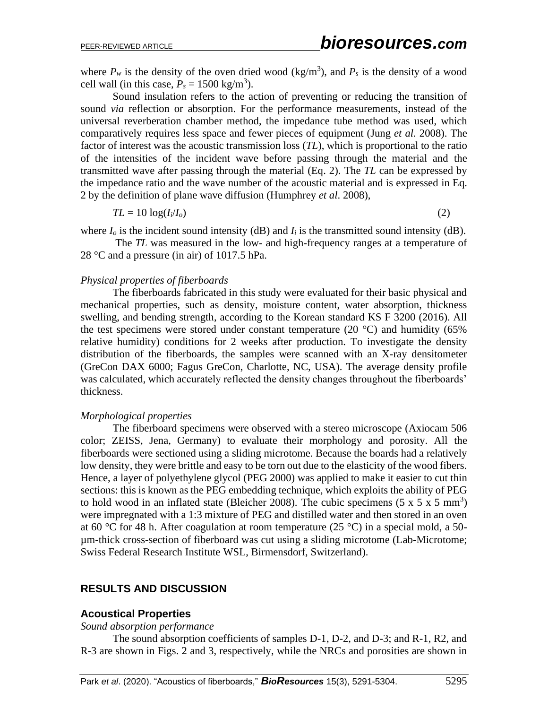where  $P_w$  is the density of the oven dried wood (kg/m<sup>3</sup>), and  $P_s$  is the density of a wood cell wall (in this case,  $P_s = 1500 \text{ kg/m}^3$ ).

Sound insulation refers to the action of preventing or reducing the transition of sound *via* reflection or absorption. For the performance measurements, instead of the universal reverberation chamber method, the impedance tube method was used, which comparatively requires less space and fewer pieces of equipment (Jung *et al.* 2008). The factor of interest was the acoustic transmission loss (*TL*), which is proportional to the ratio of the intensities of the incident wave before passing through the material and the transmitted wave after passing through the material (Eq. 2). The *TL* can be expressed by the impedance ratio and the wave number of the acoustic material and is expressed in Eq. 2 by the definition of plane wave diffusion (Humphrey *et al*. 2008),

$$
TL = 10 \log(I_i/I_o) \tag{2}
$$

where  $I<sub>o</sub>$  is the incident sound intensity (dB) and  $I<sub>i</sub>$  is the transmitted sound intensity (dB).

The *TL* was measured in the low- and high-frequency ranges at a temperature of 28 °C and a pressure (in air) of 1017.5 hPa.

#### *Physical properties of fiberboards*

The fiberboards fabricated in this study were evaluated for their basic physical and mechanical properties, such as density, moisture content, water absorption, thickness swelling, and bending strength, according to the Korean standard KS F 3200 (2016). All the test specimens were stored under constant temperature (20  $^{\circ}$ C) and humidity (65%) relative humidity) conditions for 2 weeks after production. To investigate the density distribution of the fiberboards, the samples were scanned with an X-ray densitometer (GreCon DAX 6000; Fagus GreCon, Charlotte, NC, USA). The average density profile was calculated, which accurately reflected the density changes throughout the fiberboards' thickness.

#### *Morphological properties*

The fiberboard specimens were observed with a stereo microscope (Axiocam 506 color; ZEISS, Jena, Germany) to evaluate their morphology and porosity. All the fiberboards were sectioned using a sliding microtome. Because the boards had a relatively low density, they were brittle and easy to be torn out due to the elasticity of the wood fibers. Hence, a layer of polyethylene glycol (PEG 2000) was applied to make it easier to cut thin sections: this is known as the PEG embedding technique, which exploits the ability of PEG to hold wood in an inflated state (Bleicher 2008). The cubic specimens  $(5 \times 5 \times 5 \text{ mm}^3)$ were impregnated with a 1:3 mixture of PEG and distilled water and then stored in an oven at 60 °C for 48 h. After coagulation at room temperature (25 °C) in a special mold, a 50µm-thick cross-section of fiberboard was cut using a sliding microtome (Lab-Microtome; Swiss Federal Research Institute WSL, Birmensdorf, Switzerland).

#### **RESULTS AND DISCUSSION**

#### **Acoustical Properties**

#### *Sound absorption performance*

The sound absorption coefficients of samples D-1, D-2, and D-3; and R-1, R2, and R-3 are shown in Figs. 2 and 3, respectively, while the NRCs and porosities are shown in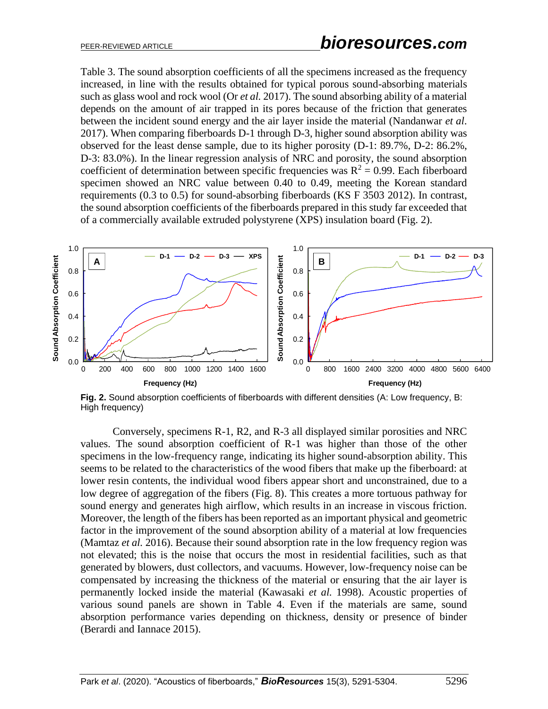Table 3. The sound absorption coefficients of all the specimens increased as the frequency increased, in line with the results obtained for typical porous sound-absorbing materials such as glass wool and rock wool (Or *et al.* 2017). The sound absorbing ability of a material depends on the amount of air trapped in its pores because of the friction that generates between the incident sound energy and the air layer inside the material (Nandanwar *et al*. 2017). When comparing fiberboards D-1 through D-3, higher sound absorption ability was observed for the least dense sample, due to its higher porosity (D-1: 89.7%, D-2: 86.2%, D-3: 83.0%). In the linear regression analysis of NRC and porosity, the sound absorption coefficient of determination between specific frequencies was  $R^2 = 0.99$ . Each fiberboard specimen showed an NRC value between 0.40 to 0.49, meeting the Korean standard requirements (0.3 to 0.5) for sound-absorbing fiberboards (KS F 3503 2012). In contrast, the sound absorption coefficients of the fiberboards prepared in this study far exceeded that of a commercially available extruded polystyrene (XPS) insulation board (Fig. 2).



**Fig. 2.** Sound absorption coefficients of fiberboards with different densities (A: Low frequency, B: High frequency)

Conversely, specimens R-1, R2, and R-3 all displayed similar porosities and NRC values. The sound absorption coefficient of R-1 was higher than those of the other specimens in the low-frequency range, indicating its higher sound-absorption ability. This seems to be related to the characteristics of the wood fibers that make up the fiberboard: at lower resin contents, the individual wood fibers appear short and unconstrained, due to a low degree of aggregation of the fibers (Fig. 8). This creates a more tortuous pathway for sound energy and generates high airflow, which results in an increase in viscous friction. Moreover, the length of the fibers has been reported as an important physical and geometric factor in the improvement of the sound absorption ability of a material at low frequencies (Mamtaz *et al.* 2016). Because their sound absorption rate in the low frequency region was not elevated; this is the noise that occurs the most in residential facilities, such as that generated by blowers, dust collectors, and vacuums. However, low-frequency noise can be compensated by increasing the thickness of the material or ensuring that the air layer is permanently locked inside the material (Kawasaki *et al.* 1998). Acoustic properties of various sound panels are shown in Table 4. Even if the materials are same, sound absorption performance varies depending on thickness, density or presence of binder (Berardi and Iannace 2015).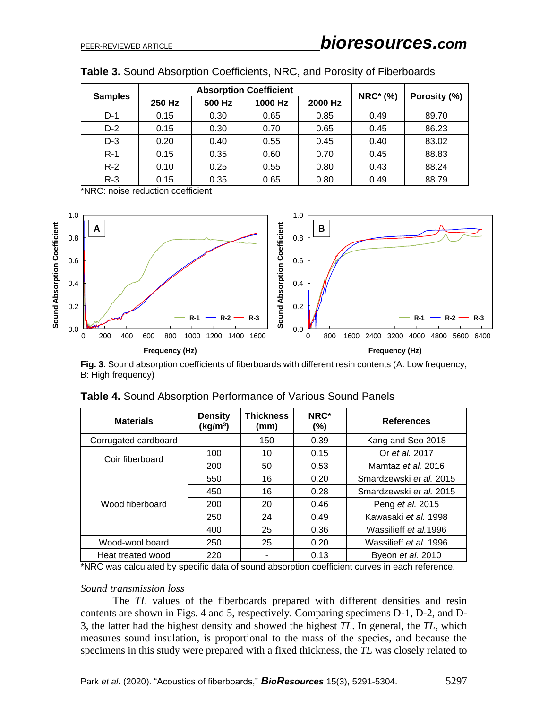|                | <b>Absorption Coefficient</b> |        |         |         |                 |              |
|----------------|-------------------------------|--------|---------|---------|-----------------|--------------|
| <b>Samples</b> | 250 Hz                        | 500 Hz | 1000 Hz | 2000 Hz | <b>NRC*</b> (%) | Porosity (%) |
| $D-1$          | 0.15                          | 0.30   | 0.65    | 0.85    | 0.49            | 89.70        |
| $D-2$          | 0.15                          | 0.30   | 0.70    | 0.65    | 0.45            | 86.23        |
| $D-3$          | 0.20                          | 0.40   | 0.55    | 0.45    | 0.40            | 83.02        |
| $R-1$          | 0.15                          | 0.35   | 0.60    | 0.70    | 0.45            | 88.83        |
| $R-2$          | 0.10                          | 0.25   | 0.55    | 0.80    | 0.43            | 88.24        |
| $R-3$          | 0.15                          | 0.35   | 0.65    | 0.80    | 0.49            | 88.79        |

| Table 3. Sound Absorption Coefficients, NRC, and Porosity of Fiberboards |  |  |  |
|--------------------------------------------------------------------------|--|--|--|
|--------------------------------------------------------------------------|--|--|--|

\*NRC: noise reduction coefficient



Fig. 3. Sound absorption coefficients of fiberboards with different resin contents (A: Low frequency, B: High frequency)

| Sound Absorption Coefficient<br>0.4<br>0.2<br>$R-1$<br>$R-3$<br>$R-2$<br>R-1<br>0.0<br>200<br>400<br>600<br>800<br>1000<br>1200 1400 1600<br>800<br>1600 2400 3200 4000 4800 5600<br>0<br>0<br>Frequency (Hz)<br>Frequency (Hz)<br>Fig. 3. Sound absorption coefficients of fiberboards with different resin contents (A: Low frequency,<br>B: High frequency)<br>Table 4. Sound Absorption Performance of Various Sound Panels<br><b>Density</b><br><b>Thickness</b><br>NRC*<br><b>Materials</b><br><b>References</b><br>(kg/m <sup>3</sup> )<br>(mm)<br>(%)<br>Corrugated cardboard<br>150<br>0.39<br>Kang and Seo 2018<br>Or et al. 2017<br>100<br>10<br>0.15<br>Coir fiberboard<br>Mamtaz et al. 2016<br>200<br>50<br>0.53<br>16<br>0.20<br>Smardzewski et al. 2015<br>550<br>0.28<br>450<br>16<br>Smardzewski et al. 2015<br>Wood fiberboard<br>0.46<br>200<br>20<br>Peng et al. 2015<br>250<br>24<br>0.49<br>Kawasaki et al. 1998<br>Wassilieff et al.1996<br>400<br>0.36<br>25<br>Wood-wool board<br>Wassilieff et al. 1996<br>250<br>25<br>0.20 |
|---------------------------------------------------------------------------------------------------------------------------------------------------------------------------------------------------------------------------------------------------------------------------------------------------------------------------------------------------------------------------------------------------------------------------------------------------------------------------------------------------------------------------------------------------------------------------------------------------------------------------------------------------------------------------------------------------------------------------------------------------------------------------------------------------------------------------------------------------------------------------------------------------------------------------------------------------------------------------------------------------------------------------------------------------------|
|                                                                                                                                                                                                                                                                                                                                                                                                                                                                                                                                                                                                                                                                                                                                                                                                                                                                                                                                                                                                                                                         |
|                                                                                                                                                                                                                                                                                                                                                                                                                                                                                                                                                                                                                                                                                                                                                                                                                                                                                                                                                                                                                                                         |
|                                                                                                                                                                                                                                                                                                                                                                                                                                                                                                                                                                                                                                                                                                                                                                                                                                                                                                                                                                                                                                                         |
|                                                                                                                                                                                                                                                                                                                                                                                                                                                                                                                                                                                                                                                                                                                                                                                                                                                                                                                                                                                                                                                         |
|                                                                                                                                                                                                                                                                                                                                                                                                                                                                                                                                                                                                                                                                                                                                                                                                                                                                                                                                                                                                                                                         |
|                                                                                                                                                                                                                                                                                                                                                                                                                                                                                                                                                                                                                                                                                                                                                                                                                                                                                                                                                                                                                                                         |
|                                                                                                                                                                                                                                                                                                                                                                                                                                                                                                                                                                                                                                                                                                                                                                                                                                                                                                                                                                                                                                                         |
|                                                                                                                                                                                                                                                                                                                                                                                                                                                                                                                                                                                                                                                                                                                                                                                                                                                                                                                                                                                                                                                         |
|                                                                                                                                                                                                                                                                                                                                                                                                                                                                                                                                                                                                                                                                                                                                                                                                                                                                                                                                                                                                                                                         |
|                                                                                                                                                                                                                                                                                                                                                                                                                                                                                                                                                                                                                                                                                                                                                                                                                                                                                                                                                                                                                                                         |
|                                                                                                                                                                                                                                                                                                                                                                                                                                                                                                                                                                                                                                                                                                                                                                                                                                                                                                                                                                                                                                                         |
| 0.13<br>Heat treated wood<br>220<br>Byeon et al. 2010                                                                                                                                                                                                                                                                                                                                                                                                                                                                                                                                                                                                                                                                                                                                                                                                                                                                                                                                                                                                   |

| Table 4. Sound Absorption Performance of Various Sound Panels |
|---------------------------------------------------------------|
|---------------------------------------------------------------|

#### *Sound transmission loss*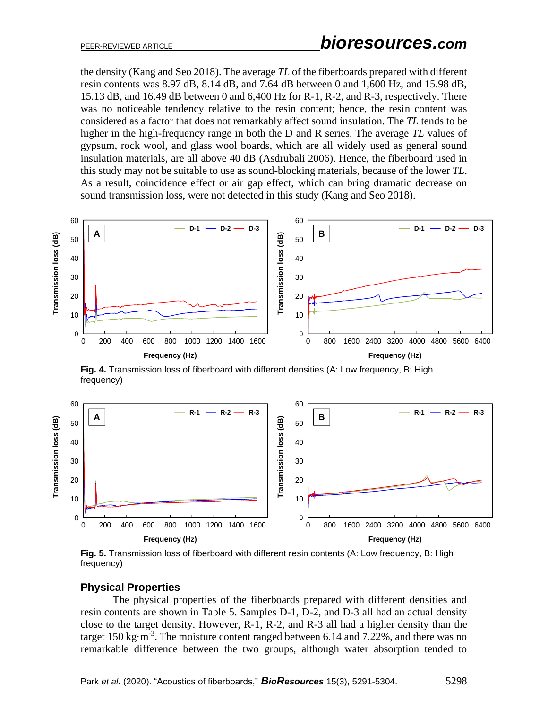the density (Kang and Seo 2018). The average *TL* of the fiberboards prepared with different resin contents was 8.97 dB, 8.14 dB, and 7.64 dB between 0 and 1,600 Hz, and 15.98 dB, 15.13 dB, and 16.49 dB between 0 and 6,400 Hz for R-1, R-2, and R-3, respectively. There was no noticeable tendency relative to the resin content; hence, the resin content was considered as a factor that does not remarkably affect sound insulation. The *TL* tends to be higher in the high-frequency range in both the D and R series. The average *TL* values of gypsum, rock wool, and glass wool boards, which are all widely used as general sound insulation materials, are all above 40 dB (Asdrubali 2006). Hence, the fiberboard used in this study may not be suitable to use as sound-blocking materials, because of the lower *TL*. As a result, coincidence effect or air gap effect, which can bring dramatic decrease on sound transmission loss, were not detected in this study (Kang and Seo 2018).



**Fig. 4.** Transmission loss of fiberboard with different densities (A: Low frequency, B: High frequency)



**Fig. 5.** Transmission loss of fiberboard with different resin contents (A: Low frequency, B: High frequency)

## **Physical Properties**

The physical properties of the fiberboards prepared with different densities and resin contents are shown in Table 5. Samples D-1, D-2, and D-3 all had an actual density close to the target density. However, R-1, R-2, and R-3 all had a higher density than the target 150 kg $\cdot$ m<sup>-3</sup>. The moisture content ranged between 6.14 and 7.22%, and there was no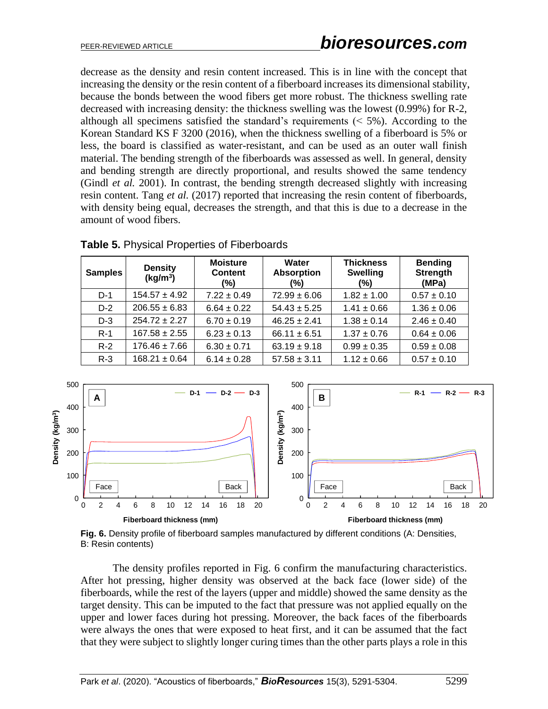decrease as the density and resin content increased. This is in line with the concept that increasing the density or the resin content of a fiberboard increases its dimensional stability, because the bonds between the wood fibers get more robust. The thickness swelling rate decreased with increasing density: the thickness swelling was the lowest (0.99%) for R-2, although all specimens satisfied the standard's requirements  $(< 5\%)$ . According to the Korean Standard KS F 3200 (2016), when the thickness swelling of a fiberboard is 5% or less, the board is classified as water-resistant, and can be used as an outer wall finish material. The bending strength of the fiberboards was assessed as well. In general, density and bending strength are directly proportional, and results showed the same tendency (Gindl *et al.* 2001). In contrast, the bending strength decreased slightly with increasing resin content. Tang *et al.* (2017) reported that increasing the resin content of fiberboards, with density being equal, decreases the strength, and that this is due to a decrease in the amount of wood fibers.

| <b>Samples</b> | <b>Density</b><br>(kg/m <sup>3</sup> ) | <b>Moisture</b><br><b>Content</b><br>(%) | Water<br><b>Absorption</b><br>(%) | <b>Thickness</b><br><b>Swelling</b><br>$(\% )$ | <b>Bending</b><br><b>Strength</b><br>(MPa) |
|----------------|----------------------------------------|------------------------------------------|-----------------------------------|------------------------------------------------|--------------------------------------------|
| $D-1$          | $154.57 \pm 4.92$                      | $7.22 \pm 0.49$                          | $72.99 \pm 6.06$                  | $1.82 \pm 1.00$                                | $0.57 \pm 0.10$                            |
| $D-2$          | $206.55 \pm 6.83$                      | $6.64 \pm 0.22$                          | $54.43 \pm 5.25$                  | $1.41 \pm 0.66$                                | $1.36 \pm 0.06$                            |
| $D-3$          | $254.72 \pm 2.27$                      | $6.70 \pm 0.19$                          | $46.25 \pm 2.41$                  | $1.38 \pm 0.14$                                | $2.46 \pm 0.40$                            |
| $R-1$          | $167.58 \pm 2.55$                      | $6.23 \pm 0.13$                          | $66.11 \pm 6.51$                  | $1.37 \pm 0.76$                                | $0.64 \pm 0.06$                            |
| $R-2$          | $176.46 \pm 7.66$                      | $6.30 \pm 0.71$                          | $63.19 \pm 9.18$                  | $0.99 \pm 0.35$                                | $0.59 \pm 0.08$                            |
| $R-3$          | $168.21 \pm 0.64$                      | $6.14 \pm 0.28$                          | $57.58 \pm 3.11$                  | $1.12 \pm 0.66$                                | $0.57 \pm 0.10$                            |

**Table 5.** Physical Properties of Fiberboards



**Fig. 6.** Density profile of fiberboard samples manufactured by different conditions (A: Densities, B: Resin contents)

The density profiles reported in Fig. 6 confirm the manufacturing characteristics. After hot pressing, higher density was observed at the back face (lower side) of the fiberboards, while the rest of the layers (upper and middle) showed the same density as the target density. This can be imputed to the fact that pressure was not applied equally on the upper and lower faces during hot pressing. Moreover, the back faces of the fiberboards were always the ones that were exposed to heat first, and it can be assumed that the fact that they were subject to slightly longer curing times than the other parts plays a role in this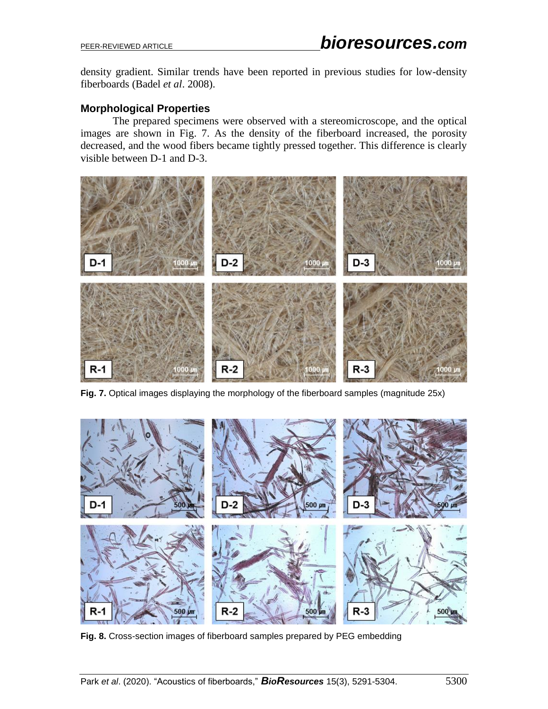density gradient. Similar trends have been reported in previous studies for low-density fiberboards (Badel *et al*. 2008).

# **Morphological Properties**

The prepared specimens were observed with a stereomicroscope, and the optical images are shown in Fig. 7. As the density of the fiberboard increased, the porosity decreased, and the wood fibers became tightly pressed together. This difference is clearly visible between D-1 and D-3.



**Fig. 7.** Optical images displaying the morphology of the fiberboard samples (magnitude 25x)



**Fig. 8.** Cross-section images of fiberboard samples prepared by PEG embedding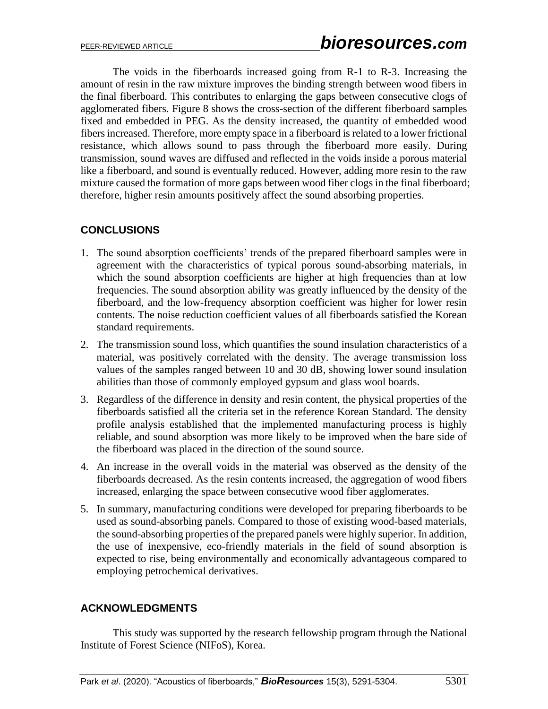The voids in the fiberboards increased going from R-1 to R-3. Increasing the amount of resin in the raw mixture improves the binding strength between wood fibers in the final fiberboard. This contributes to enlarging the gaps between consecutive clogs of agglomerated fibers. Figure 8 shows the cross-section of the different fiberboard samples fixed and embedded in PEG. As the density increased, the quantity of embedded wood fibers increased. Therefore, more empty space in a fiberboard is related to a lower frictional resistance, which allows sound to pass through the fiberboard more easily. During transmission, sound waves are diffused and reflected in the voids inside a porous material like a fiberboard, and sound is eventually reduced. However, adding more resin to the raw mixture caused the formation of more gaps between wood fiber clogs in the final fiberboard; therefore, higher resin amounts positively affect the sound absorbing properties.

# **CONCLUSIONS**

- 1. The sound absorption coefficients' trends of the prepared fiberboard samples were in agreement with the characteristics of typical porous sound-absorbing materials, in which the sound absorption coefficients are higher at high frequencies than at low frequencies. The sound absorption ability was greatly influenced by the density of the fiberboard, and the low-frequency absorption coefficient was higher for lower resin contents. The noise reduction coefficient values of all fiberboards satisfied the Korean standard requirements.
- 2. The transmission sound loss, which quantifies the sound insulation characteristics of a material, was positively correlated with the density. The average transmission loss values of the samples ranged between 10 and 30 dB, showing lower sound insulation abilities than those of commonly employed gypsum and glass wool boards.
- 3. Regardless of the difference in density and resin content, the physical properties of the fiberboards satisfied all the criteria set in the reference Korean Standard. The density profile analysis established that the implemented manufacturing process is highly reliable, and sound absorption was more likely to be improved when the bare side of the fiberboard was placed in the direction of the sound source.
- 4. An increase in the overall voids in the material was observed as the density of the fiberboards decreased. As the resin contents increased, the aggregation of wood fibers increased, enlarging the space between consecutive wood fiber agglomerates.
- 5. In summary, manufacturing conditions were developed for preparing fiberboards to be used as sound-absorbing panels. Compared to those of existing wood-based materials, the sound-absorbing properties of the prepared panels were highly superior. In addition, the use of inexpensive, eco-friendly materials in the field of sound absorption is expected to rise, being environmentally and economically advantageous compared to employing petrochemical derivatives.

## **ACKNOWLEDGMENTS**

This study was supported by the research fellowship program through the National Institute of Forest Science (NIFoS), Korea.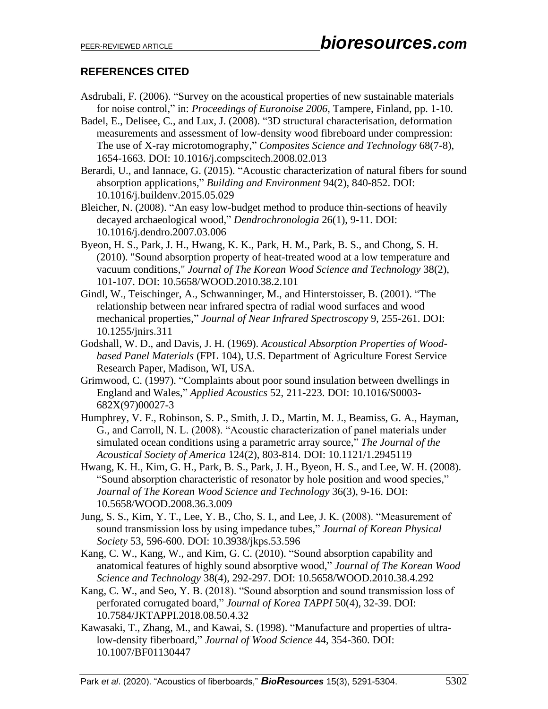# **REFERENCES CITED**

- Asdrubali, F. (2006). "Survey on the acoustical properties of new sustainable materials for noise control," in: *Proceedings of Euronoise 2006*, Tampere, Finland, pp. 1-10.
- Badel, E., Delisee, C., and Lux, J. (2008). "3D structural characterisation, deformation measurements and assessment of low-density wood fibreboard under compression: The use of X-ray microtomography," *Composites Science and Technology* 68(7-8), 1654-1663. DOI: 10.1016/j.compscitech.2008.02.013
- Berardi, U., and Iannace, G. (2015). "Acoustic characterization of natural fibers for sound absorption applications," *Building and Environment* 94(2), 840-852. DOI: 10.1016/j.buildenv.2015.05.029
- Bleicher, N. (2008). "An easy low-budget method to produce thin-sections of heavily decayed archaeological wood," *Dendrochronologia* 26(1), 9-11. DOI: 10.1016/j.dendro.2007.03.006
- Byeon, H. S., Park, J. H., Hwang, K. K., Park, H. M., Park, B. S., and Chong, S. H. (2010). "Sound absorption property of heat-treated wood at a low temperature and vacuum conditions," *Journal of The Korean Wood Science and Technology* 38(2), 101-107. DOI: 10.5658/WOOD.2010.38.2.101
- Gindl, W., Teischinger, A., Schwanninger, M., and Hinterstoisser, B. (2001). "The relationship between near infrared spectra of radial wood surfaces and wood mechanical properties," *Journal of Near Infrared Spectroscopy* 9, 255-261. DOI: 10.1255/jnirs.311
- Godshall, W. D., and Davis, J. H. (1969). *Acoustical Absorption Properties of Woodbased Panel Materials* (FPL 104), U.S. Department of Agriculture Forest Service Research Paper, Madison, WI, USA.
- Grimwood, C. (1997). "Complaints about poor sound insulation between dwellings in England and Wales," *Applied Acoustics* 52, 211-223. DOI: 10.1016/S0003- 682X(97)00027-3
- Humphrey, V. F., Robinson, S. P., Smith, J. D., Martin, M. J., Beamiss, G. A., Hayman, G., and Carroll, N. L. (2008). "Acoustic characterization of panel materials under simulated ocean conditions using a parametric array source," *The Journal of the Acoustical Society of America* 124(2), 803-814. DOI: 10.1121/1.2945119
- Hwang, K. H., Kim, G. H., Park, B. S., Park, J. H., Byeon, H. S., and Lee, W. H. (2008). "Sound absorption characteristic of resonator by hole position and wood species," *Journal of The Korean Wood Science and Technology* 36(3), 9-16. DOI: 10.5658/WOOD.2008.36.3.009
- Jung, S. S., Kim, Y. T., Lee, Y. B., Cho, S. I., and Lee, J. K. (2008). "Measurement of sound transmission loss by using impedance tubes," *Journal of Korean Physical Society* 53, 596-600. DOI: 10.3938/jkps.53.596
- Kang, C. W., Kang, W., and Kim, G. C. (2010). "Sound absorption capability and anatomical features of highly sound absorptive wood," *Journal of The Korean Wood Science and Technology* 38(4), 292-297. DOI: 10.5658/WOOD.2010.38.4.292
- Kang, C. W., and Seo, Y. B. (2018). "Sound absorption and sound transmission loss of perforated corrugated board," *Journal of Korea TAPPI* 50(4), 32-39. DOI: 10.7584/JKTAPPI.2018.08.50.4.32
- Kawasaki, T., Zhang, M., and Kawai, S. (1998). "Manufacture and properties of ultralow-density fiberboard," *Journal of Wood Science* 44, 354-360. DOI: 10.1007/BF01130447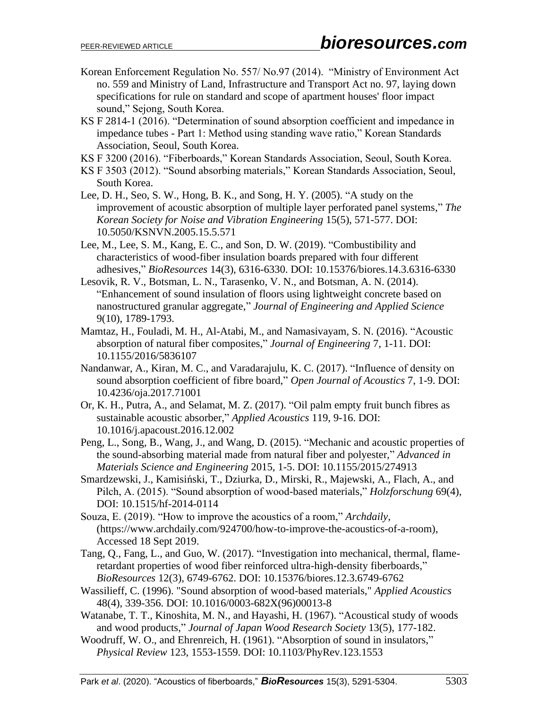- Korean Enforcement Regulation No. 557/ No.97 (2014). "Ministry of Environment Act no. 559 and Ministry of Land, Infrastructure and Transport Act no. 97, laying down specifications for rule on standard and scope of apartment houses' floor impact sound," Sejong, South Korea.
- KS F 2814-1 (2016). "Determination of sound absorption coefficient and impedance in impedance tubes - Part 1: Method using standing wave ratio," Korean Standards Association, Seoul, South Korea.
- KS F 3200 (2016). "Fiberboards," Korean Standards Association, Seoul, South Korea.
- KS F 3503 (2012). "Sound absorbing materials," Korean Standards Association, Seoul, South Korea.
- Lee, D. H., Seo, S. W., Hong, B. K., and Song, H. Y. (2005). "A study on the improvement of acoustic absorption of multiple layer perforated panel systems," *The Korean Society for Noise and Vibration Engineering* 15(5), 571-577. DOI: 10.5050/KSNVN.2005.15.5.571
- Lee, M., Lee, S. M., Kang, E. C., and Son, D. W. (2019). "Combustibility and characteristics of wood-fiber insulation boards prepared with four different adhesives," *BioResources* 14(3), 6316-6330. DOI: 10.15376/biores.14.3.6316-6330
- Lesovik, R. V., Botsman, L. N., Tarasenko, V. N., and Botsman, A. N. (2014). "Enhancement of sound insulation of floors using lightweight concrete based on nanostructured granular aggregate," *Journal of Engineering and Applied Science* 9(10), 1789-1793.
- Mamtaz, H., Fouladi, M. H., Al-Atabi, M., and Namasivayam, S. N. (2016). "Acoustic absorption of natural fiber composites," *Journal of Engineering* 7, 1-11. DOI: 10.1155/2016/5836107
- Nandanwar, A., Kiran, M. C., and Varadarajulu, K. C. (2017). "Influence of density on sound absorption coefficient of fibre board," *Open Journal of Acoustics* 7, 1-9. DOI: 10.4236/oja.2017.71001
- Or, K. H., Putra, A., and Selamat, M. Z. (2017). "Oil palm empty fruit bunch fibres as sustainable acoustic absorber," *Applied Acoustics* 119, 9-16. DOI: 10.1016/j.apacoust.2016.12.002
- Peng, L., Song, B., Wang, J., and Wang, D. (2015). "Mechanic and acoustic properties of the sound-absorbing material made from natural fiber and polyester," *Advanced in Materials Science and Engineering* 2015, 1-5. DOI: 10.1155/2015/274913
- Smardzewski, J., Kamisiński, T., Dziurka, D., Mirski, R., Majewski, A., Flach, A., and Pilch, A. (2015). "Sound absorption of wood-based materials," *Holzforschung* 69(4), DOI: 10.1515/hf-2014-0114
- Souza, E. (2019). "How to improve the acoustics of a room," *Archdaily*, (https://www.archdaily.com/924700/how-to-improve-the-acoustics-of-a-room), Accessed 18 Sept 2019.
- Tang, Q., Fang, L., and Guo, W. (2017). "Investigation into mechanical, thermal, flameretardant properties of wood fiber reinforced ultra-high-density fiberboards," *BioResources* 12(3), 6749-6762. DOI: 10.15376/biores.12.3.6749-6762
- Wassilieff, C. (1996). "Sound absorption of wood-based materials," *Applied Acoustics* 48(4), 339-356. DOI: 10.1016/0003-682X(96)00013-8
- Watanabe, T. T., Kinoshita, M. N., and Hayashi, H. (1967). "Acoustical study of woods and wood products," *Journal of Japan Wood Research Society* 13(5), 177-182.
- Woodruff, W. O., and Ehrenreich, H. (1961). "Absorption of sound in insulators," *Physical Review* 123, 1553-1559. DOI: 10.1103/PhyRev.123.1553